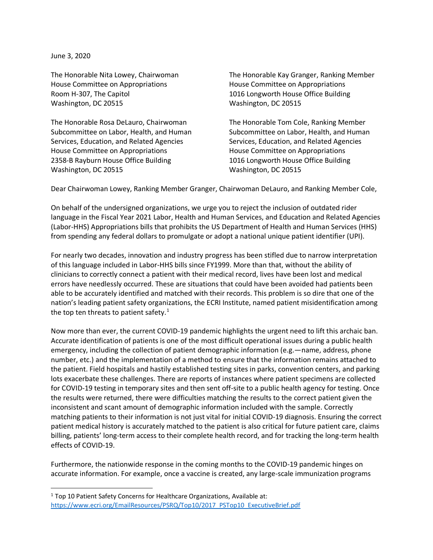June 3, 2020

House Committee on Appropriations House Committee on Appropriations Room H-307, The Capitol 1016 Longworth House Office Building Washington, DC 20515 Washington, DC 20515

The Honorable Rosa DeLauro, Chairwoman The Honorable Tom Cole, Ranking Member Services, Education, and Related Agencies Services, Education, and Related Agencies House Committee on Appropriations House Committee on Appropriations 2358-B Rayburn House Office Building 1016 Longworth House Office Building Washington, DC 20515 Washington, DC 20515

The Honorable Nita Lowey, Chairwoman The Honorable Kay Granger, Ranking Member

Subcommittee on Labor, Health, and Human Subcommittee on Labor, Health, and Human

Dear Chairwoman Lowey, Ranking Member Granger, Chairwoman DeLauro, and Ranking Member Cole,

On behalf of the undersigned organizations, we urge you to reject the inclusion of outdated rider language in the Fiscal Year 2021 Labor, Health and Human Services, and Education and Related Agencies (Labor-HHS) Appropriations bills that prohibits the US Department of Health and Human Services (HHS) from spending any federal dollars to promulgate or adopt a national unique patient identifier (UPI).

For nearly two decades, innovation and industry progress has been stifled due to narrow interpretation of this language included in Labor-HHS bills since FY1999. More than that, without the ability of clinicians to correctly connect a patient with their medical record, lives have been lost and medical errors have needlessly occurred. These are situations that could have been avoided had patients been able to be accurately identified and matched with their records. This problem is so dire that one of the nation's leading patient safety organizations, the ECRI Institute, named patient misidentification among the top ten threats to patient safety. $1$ 

Now more than ever, the current COVID-19 pandemic highlights the urgent need to lift this archaic ban. Accurate identification of patients is one of the most difficult operational issues during a public health emergency, including the collection of patient demographic information (e.g.—name, address, phone number, etc.) and the implementation of a method to ensure that the information remains attached to the patient. Field hospitals and hastily established testing sites in parks, convention centers, and parking lots exacerbate these challenges. There are reports of instances where patient specimens are collected for COVID-19 testing in temporary sites and then sent off-site to a public health agency for testing. Once the results were returned, there were difficulties matching the results to the correct patient given the inconsistent and scant amount of demographic information included with the sample. Correctly matching patients to their information is not just vital for initial COVID-19 diagnosis. Ensuring the correct patient medical history is accurately matched to the patient is also critical for future patient care, claims billing, patients' long-term access to their complete health record, and for tracking the long-term health effects of COVID-19.

Furthermore, the nationwide response in the coming months to the COVID-19 pandemic hinges on accurate information. For example, once a vaccine is created, any large-scale immunization programs

 $1$  Top 10 Patient Safety Concerns for Healthcare Organizations, Available at: [https://www.ecri.org/EmailResources/PSRQ/Top10/2017\\_PSTop10\\_ExecutiveBrief.pdf](https://www.ecri.org/EmailResources/PSRQ/Top10/2017_PSTop10_ExecutiveBrief.pdf)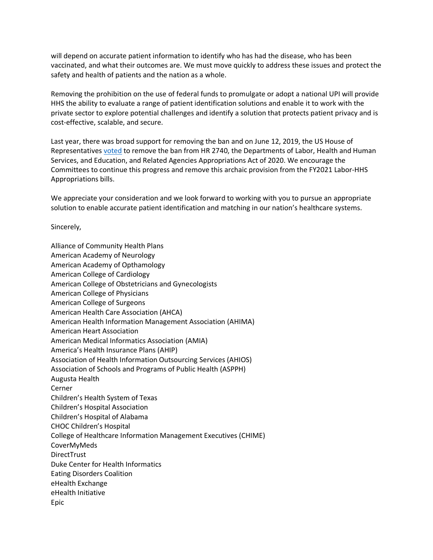will depend on accurate patient information to identify who has had the disease, who has been vaccinated, and what their outcomes are. We must move quickly to address these issues and protect the safety and health of patients and the nation as a whole.

Removing the prohibition on the use of federal funds to promulgate or adopt a national UPI will provide HHS the ability to evaluate a range of patient identification solutions and enable it to work with the private sector to explore potential challenges and identify a solution that protects patient privacy and is cost-effective, scalable, and secure.

Last year, there was broad support for removing the ban and on June 12, 2019, the US House of Representative[s voted](http://clerk.house.gov/evs/2019/roll270.xml) to remove the ban from HR 2740, the Departments of Labor, Health and Human Services, and Education, and Related Agencies Appropriations Act of 2020. We encourage the Committees to continue this progress and remove this archaic provision from the FY2021 Labor-HHS Appropriations bills.

We appreciate your consideration and we look forward to working with you to pursue an appropriate solution to enable accurate patient identification and matching in our nation's healthcare systems.

Sincerely,

Alliance of Community Health Plans American Academy of Neurology American Academy of Opthamology American College of Cardiology American College of Obstetricians and Gynecologists American College of Physicians American College of Surgeons American Health Care Association (AHCA) American Health Information Management Association (AHIMA) American Heart Association American Medical Informatics Association (AMIA) America's Health Insurance Plans (AHIP) Association of Health Information Outsourcing Services (AHIOS) Association of Schools and Programs of Public Health (ASPPH) Augusta Health Cerner Children's Health System of Texas Children's Hospital Association Children's Hospital of Alabama CHOC Children's Hospital College of Healthcare Information Management Executives (CHIME) CoverMyMeds **DirectTrust** Duke Center for Health Informatics Eating Disorders Coalition eHealth Exchange eHealth Initiative Epic